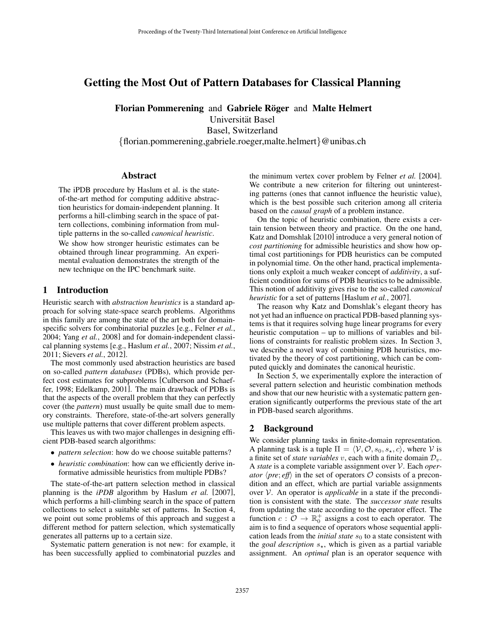# Getting the Most Out of Pattern Databases for Classical Planning

Florian Pommerening and Gabriele Röger and Malte Helmert Universitat Basel ¨ Basel, Switzerland {florian.pommerening,gabriele.roeger,malte.helmert}@unibas.ch

### Abstract

The iPDB procedure by Haslum et al. is the stateof-the-art method for computing additive abstraction heuristics for domain-independent planning. It performs a hill-climbing search in the space of pattern collections, combining information from multiple patterns in the so-called *canonical heuristic*.

We show how stronger heuristic estimates can be obtained through linear programming. An experimental evaluation demonstrates the strength of the new technique on the IPC benchmark suite.

### 1 Introduction

Heuristic search with *abstraction heuristics* is a standard approach for solving state-space search problems. Algorithms in this family are among the state of the art both for domainspecific solvers for combinatorial puzzles [e.g., Felner *et al.*, 2004; Yang *et al.*, 2008] and for domain-independent classical planning systems [e.g., Haslum *et al.*, 2007; Nissim *et al.*, 2011; Sievers *et al.*, 2012].

The most commonly used abstraction heuristics are based on so-called *pattern databases* (PDBs), which provide perfect cost estimates for subproblems [Culberson and Schaeffer, 1998; Edelkamp, 2001]. The main drawback of PDBs is that the aspects of the overall problem that they can perfectly cover (the *pattern*) must usually be quite small due to memory constraints. Therefore, state-of-the-art solvers generally use multiple patterns that cover different problem aspects.

This leaves us with two major challenges in designing efficient PDB-based search algorithms:

- *pattern selection*: how do we choose suitable patterns?
- *heuristic combination*: how can we efficiently derive informative admissible heuristics from multiple PDBs?

The state-of-the-art pattern selection method in classical planning is the *iPDB* algorithm by Haslum *et al.* [2007], which performs a hill-climbing search in the space of pattern collections to select a suitable set of patterns. In Section 4, we point out some problems of this approach and suggest a different method for pattern selection, which systematically generates all patterns up to a certain size.

Systematic pattern generation is not new: for example, it has been successfully applied to combinatorial puzzles and the minimum vertex cover problem by Felner *et al.* [2004]. We contribute a new criterion for filtering out uninteresting patterns (ones that cannot influence the heuristic value), which is the best possible such criterion among all criteria based on the *causal graph* of a problem instance.

On the topic of heuristic combination, there exists a certain tension between theory and practice. On the one hand, Katz and Domshlak [2010] introduce a very general notion of *cost partitioning* for admissible heuristics and show how optimal cost partitionings for PDB heuristics can be computed in polynomial time. On the other hand, practical implementations only exploit a much weaker concept of *additivity*, a sufficient condition for sums of PDB heuristics to be admissible. This notion of additivity gives rise to the so-called *canonical heuristic* for a set of patterns [Haslum *et al.*, 2007].

The reason why Katz and Domshlak's elegant theory has not yet had an influence on practical PDB-based planning systems is that it requires solving huge linear programs for every heuristic computation – up to millions of variables and billions of constraints for realistic problem sizes. In Section 3, we describe a novel way of combining PDB heuristics, motivated by the theory of cost partitioning, which can be computed quickly and dominates the canonical heuristic.

In Section 5, we experimentally explore the interaction of several pattern selection and heuristic combination methods and show that our new heuristic with a systematic pattern generation significantly outperforms the previous state of the art in PDB-based search algorithms.

## 2 Background

We consider planning tasks in finite-domain representation. A planning task is a tuple  $\Pi = \langle V, \mathcal{O}, s_0, s_\star, c \rangle$ , where V is a finite set of *state variables* v, each with a finite domain  $\mathcal{D}_v$ . A *state* is a complete variable assignment over V. Each *operator*  $\langle pre; eff \rangle$  in the set of operators  $\circ$  consists of a precondition and an effect, which are partial variable assignments over V. An operator is *applicable* in a state if the precondition is consistent with the state. The *successor state* results from updating the state according to the operator effect. The function  $c : \mathcal{O} \to \mathbb{R}_0^+$  assigns a cost to each operator. The aim is to find a sequence of operators whose sequential application leads from the *initial state*  $s_0$  to a state consistent with the *goal description*  $s_{\star}$ , which is given as a partial variable assignment. An *optimal* plan is an operator sequence with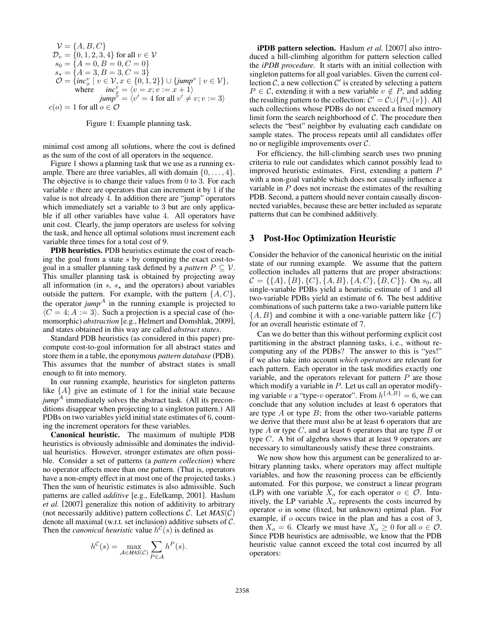$$
\mathcal{V} = \{A, B, C\}
$$
  
\n
$$
\mathcal{D}_v = \{0, 1, 2, 3, 4\} \text{ for all } v \in \mathcal{V}
$$
  
\n
$$
s_0 = \{A = 0, B = 0, C = 0\}
$$
  
\n
$$
s_{\star} = \{A = 3, B = 3, C = 3\}
$$
  
\n
$$
\mathcal{O} = \{inc_x^v \mid v \in \mathcal{V}, x \in \{0, 1, 2\}\} \cup \{jump^v \mid v \in \mathcal{V}\},
$$
  
\nwhere  $inc_x^v = \{v = x; v := x + 1\}$   
\n
$$
jump^v = \langle v' = 4 \text{ for all } v' \neq v; v := 3 \rangle
$$
  
\n
$$
c(o) = 1 \text{ for all } o \in \mathcal{O}
$$

Figure 1: Example planning task.

minimal cost among all solutions, where the cost is defined as the sum of the cost of all operators in the sequence.

Figure 1 shows a planning task that we use as a running example. There are three variables, all with domain  $\{0, \ldots, 4\}$ . The objective is to change their values from 0 to 3. For each variable  $v$  there are operators that can increment it by 1 if the value is not already 4. In addition there are "jump" operators which immediately set a variable to 3 but are only applicable if all other variables have value 4. All operators have unit cost. Clearly, the jump operators are useless for solving the task, and hence all optimal solutions must increment each variable three times for a total cost of 9.

PDB heuristics. PDB heuristics estimate the cost of reaching the goal from a state s by computing the exact cost-togoal in a smaller planning task defined by a *pattern*  $P \subseteq V$ . This smaller planning task is obtained by projecting away all information (in s,  $s_{\star}$  and the operators) about variables outside the pattern. For example, with the pattern  $\{A, C\}$ , the operator  $jump<sup>A</sup>$  in the running example is projected to  $\langle C = 4; A := 3 \rangle$ . Such a projection is a special case of (homomorphic) *abstraction* [e.g., Helmert and Domshlak, 2009], and states obtained in this way are called *abstract states*.

Standard PDB heuristics (as considered in this paper) precompute cost-to-goal information for all abstract states and store them in a table, the eponymous *pattern database* (PDB). This assumes that the number of abstract states is small enough to fit into memory.

In our running example, heuristics for singleton patterns like  ${A}$  give an estimate of 1 for the initial state because  $jump<sup>A</sup>$  immediately solves the abstract task. (All its preconditions disappear when projecting to a singleton pattern.) All PDBs on two variables yield initial state estimates of 6, counting the increment operators for these variables.

Canonical heuristic. The maximum of multiple PDB heuristics is obviously admissible and dominates the individual heuristics. However, stronger estimates are often possible. Consider a set of patterns (a *pattern collection*) where no operator affects more than one pattern. (That is, operators have a non-empty effect in at most one of the projected tasks.) Then the sum of heuristic estimates is also admissible. Such patterns are called *additive* [e.g., Edelkamp, 2001]. Haslum *et al.* [2007] generalize this notion of additivity to arbitrary (not necessarily additive) pattern collections  $C$ . Let  $MAS(C)$ denote all maximal (w.r.t. set inclusion) additive subsets of C. Then the *canonical heuristic* value  $h^C(s)$  is defined as

$$
h^{\mathcal{C}}(s) = \max_{\mathcal{A} \in \mathit{MAS}(\mathcal{C})} \sum_{P \in \mathcal{A}} h^P(s).
$$

iPDB pattern selection. Haslum *et al.* [2007] also introduced a hill-climbing algorithm for pattern selection called the *iPDB procedure*. It starts with an initial collection with singleton patterns for all goal variables. Given the current collection  $\mathcal{C}$ , a new collection  $\mathcal{C}'$  is created by selecting a pattern  $P \in \mathcal{C}$ , extending it with a new variable  $v \notin P$ , and adding the resulting pattern to the collection:  $\mathcal{C}' = \mathcal{C} \cup \{P \cup \{v\}\}\.$  All such collections whose PDBs do not exceed a fixed memory limit form the search neighborhood of  $C$ . The procedure then selects the "best" neighbor by evaluating each candidate on sample states. The process repeats until all candidates offer no or negligible improvements over C.

For efficiency, the hill-climbing search uses two pruning criteria to rule out candidates which cannot possibly lead to improved heuristic estimates. First, extending a pattern P with a non-goal variable which does not causally influence a variable in P does not increase the estimates of the resulting PDB. Second, a pattern should never contain causally disconnected variables, because these are better included as separate patterns that can be combined additively.

## 3 Post-Hoc Optimization Heuristic

Consider the behavior of the canonical heuristic on the initial state of our running example. We assume that the pattern collection includes all patterns that are proper abstractions:  $C = \{\{A\}, \{B\}, \{C\}, \{A, B\}, \{A, C\}, \{B, C\}\}\$ . On  $s_0$ , all single-variable PDBs yield a heuristic estimate of 1 and all two-variable PDBs yield an estimate of 6. The best additive combinations of such patterns take a two-variable pattern like  $\{A, B\}$  and combine it with a one-variable pattern like  $\{C\}$ for an overall heuristic estimate of 7.

Can we do better than this without performing explicit cost partitioning in the abstract planning tasks, i. e., without recomputing any of the PDBs? The answer to this is "yes!" if we also take into account *which operators* are relevant for each pattern. Each operator in the task modifies exactly one variable, and the operators relevant for pattern  $P$  are those which modify a variable in  $P$ . Let us call an operator modifying variable v a "type-v operator". From  $h^{\{A,B\}}=6$ , we can conclude that any solution includes at least 6 operators that are type  $A$  or type  $B$ ; from the other two-variable patterns we derive that there must also be at least 6 operators that are type  $A$  or type  $C$ , and at least 6 operators that are type  $B$  or type C. A bit of algebra shows that at least 9 operators are necessary to simultaneously satisfy these three constraints.

We now show how this argument can be generalized to arbitrary planning tasks, where operators may affect multiple variables, and how the reasoning process can be efficiently automated. For this purpose, we construct a linear program (LP) with one variable  $X_o$  for each operator  $o \in \mathcal{O}$ . Intuitively, the LP variable  $X_0$  represents the costs incurred by operator o in some (fixed, but unknown) optimal plan. For example, if o occurs twice in the plan and has a cost of 3, then  $X_o = 6$ . Clearly we must have  $X_o \ge 0$  for all  $o \in \mathcal{O}$ . Since PDB heuristics are admissible, we know that the PDB heuristic value cannot exceed the total cost incurred by all operators: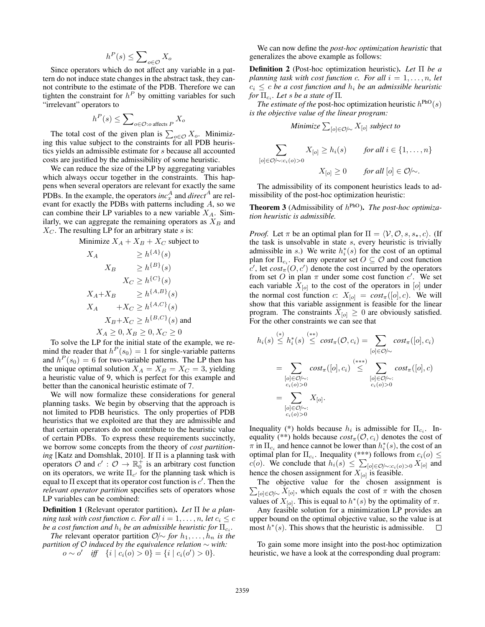$$
h^P(s) \le \sum\nolimits_{o \in \mathcal{O}} X_o
$$

Since operators which do not affect any variable in a pattern do not induce state changes in the abstract task, they cannot contribute to the estimate of the PDB. Therefore we can tighten the constraint for  $h^P$  by omitting variables for such "irrelevant" operators to

$$
h^P(s) \le \sum\nolimits_{o \in \mathcal{O}:o \text{ affects } P} X_o
$$

The total cost of the given plan is  $\sum_{o \in \mathcal{O}} X_o$ . Minimizing this value subject to the constraints for all PDB heuristics yields an admissible estimate for s because all accounted costs are justified by the admissibility of some heuristic.

We can reduce the size of the LP by aggregating variables which always occur together in the constraints. This happens when several operators are relevant for exactly the same PDBs. In the example, the operators  $inc<sub>x</sub><sup>A</sup>$  and  $direct<sup>A</sup>$  are relevant for exactly the PDBs with patterns including  $A$ , so we can combine their LP variables to a new variable  $X_A$ . Similarly, we can aggregate the remaining operators as  $X_B$  and  $X_C$ . The resulting LP for an arbitrary state s is:

Minimize 
$$
X_A + X_B + X_C
$$
 subject to

$$
X_A \geq h^{\{A\}}(s)
$$
  
\n
$$
X_B \geq h^{\{B\}}(s)
$$
  
\n
$$
X_C \geq h^{\{C\}}(s)
$$
  
\n
$$
X_A + X_B \geq h^{\{A,B\}}(s)
$$
  
\n
$$
X_A + X_C \geq h^{\{A,C\}}(s)
$$
  
\n
$$
X_B + X_C \geq h^{\{B,C\}}(s)
$$
 and  
\n
$$
X_A \geq 0, X_B \geq 0, X_C \geq 0
$$

To solve the LP for the initial state of the example, we remind the reader that  $h^P(s_0) = 1$  for single-variable patterns and  $h^P(s_0) = 6$  for two-variable patterns. The LP then has the unique optimal solution  $X_A = X_B = X_C = 3$ , yielding a heuristic value of 9, which is perfect for this example and better than the canonical heuristic estimate of 7.

We will now formalize these considerations for general planning tasks. We begin by observing that the approach is not limited to PDB heuristics. The only properties of PDB heuristics that we exploited are that they are admissible and that certain operators do not contribute to the heuristic value of certain PDBs. To express these requirements succinctly, we borrow some concepts from the theory of *cost partitioning* [Katz and Domshlak, 2010]. If Π is a planning task with operators  $\mathcal{O}$  and  $c' : \mathcal{O} \to \mathbb{R}_0^+$  is an arbitrary cost function on its operators, we write  $\Pi_{c'}$  for the planning task which is equal to  $\Pi$  except that its operator cost function is  $c'$ . Then the *relevant operator partition* specifies sets of operators whose LP variables can be combined:

Definition 1 (Relevant operator partition). *Let* Π *be a planning task with cost function c. For all*  $i = 1, \ldots, n$ , let  $c_i \leq c$ *be a cost function and*  $h_i$  *be an admissible heuristic for*  $\Pi_{c_i}.$ 

*The* relevant operator partition  $\mathcal{O} \sim$  *for*  $h_1, \ldots, h_n$  *is the partition of* O *induced by the equivalence relation* ∼ *with: o* ∼ *o'* iff {*i* |  $c_i$ (*o*) > 0} = {*i* |  $c_i$ (*o'*) > 0}*.* 

We can now define the *post-hoc optimization heuristic* that generalizes the above example as follows:

Definition 2 (Post-hoc optimization heuristic). *Let* Π *be a planning task with cost function c. For all*  $i = 1, \ldots, n$ , let  $c_i \leq c$  *be a cost function and*  $h_i$  *be an admissible heuristic for*  $\Pi_{c_i}$ *. Let s be a state of*  $\Pi$ *.* 

*The estimate of the* post-hoc optimization heuristic  $h^{PhO}(s)$ *is the objective value of the linear program:*

Minimize 
$$
\sum_{[o] \in \mathcal{O}/\sim} X_{[o]}
$$
 subject to

$$
\sum_{[o] \in \mathcal{O}/\sim : c_i(o) > 0} X_{[o]} \ge h_i(s) \qquad \text{for all } i \in \{1, \dots, n\}
$$
\n
$$
X_{[o]} \ge 0 \qquad \text{for all } [o] \in \mathcal{O}/\sim.
$$

The admissibility of its component heuristics leads to admissibility of the post-hoc optimization heuristic:

**Theorem 3** (Admissibility of  $h^{\text{PhO}}$ ). *The post-hoc optimization heuristic is admissible.*

*Proof.* Let  $\pi$  be an optimal plan for  $\Pi = \langle V, \mathcal{O}, s, s_{\star}, c \rangle$ . (If the task is unsolvable in state s, every heuristic is trivially admissible in s.) We write  $h_i^*(s)$  for the cost of an optimal plan for  $\Pi_{c_i}$ . For any operator set  $O \subseteq \mathcal{O}$  and cost function  $c'$ , let  $cost_{\pi}(O, c')$  denote the cost incurred by the operators from set O in plan  $\pi$  under some cost function c'. We set each variable  $X_{[o]}$  to the cost of the operators in  $[o]$  under the normal cost function c:  $X_{[o]} = cost_{\pi}([o], c)$ . We will show that this variable assignment is feasible for the linear program. The constraints  $X_{[o]} \geq 0$  are obviously satisfied. For the other constraints we can see that

$$
h_i(s) \stackrel{(*)}{\leq} h_i^*(s) \stackrel{(**)}{\leq} cost_{\pi}(\mathcal{O}, c_i) = \sum_{[o] \in \mathcal{O}/\sim} cost_{\pi}([o], c_i)
$$
  
= 
$$
\sum_{\substack{[o] \in \mathcal{O}/\sim:\\c_i(o) > 0}} cost_{\pi}([o], c_i) \stackrel{(***)}{\leq} \sum_{\substack{[o] \in \mathcal{O}/\sim:\\c_i(o) > 0}} cost_{\pi}([o], c)
$$
  
= 
$$
\sum_{\substack{[o] \in \mathcal{O}/\sim:\\c_i(o) > 0}} X_{[o]}.
$$

Inequality (\*) holds because  $h_i$  is admissible for  $\Pi_{c_i}$ . Inequality (\*\*) holds because  $cost_\pi(\mathcal{O}, c_i)$  denotes the cost of  $\pi$  in  $\Pi_{c_i}$  and hence cannot be lower than  $h_i^*(s)$ , the cost of an optimal plan for  $\Pi_{c_i}$ . Inequality (\*\*\*) follows from  $c_i(o) \leq$  $c(o)$ . We conclude that  $h_i(s)$  ≤  $\sum_{[o] \in \mathcal{O}/\sim : c_i(o) > 0} X_{[o]}$  and hence the chosen assignment for  $X_{[o]}$  is feasible.

 $\sum_{[o]\in\mathcal{O}/\sim} X_{[o]}$ , which equals the cost of  $\pi$  with the chosen The objective value for the chosen assignment is values of  $X_{[o]}$ . This is equal to  $h^*(s)$  by the optimality of  $\pi$ .

Any feasible solution for a minimization LP provides an upper bound on the optimal objective value, so the value is at most  $h^*(s)$ . This shows that the heuristic is admissible. П

To gain some more insight into the post-hoc optimization heuristic, we have a look at the corresponding dual program: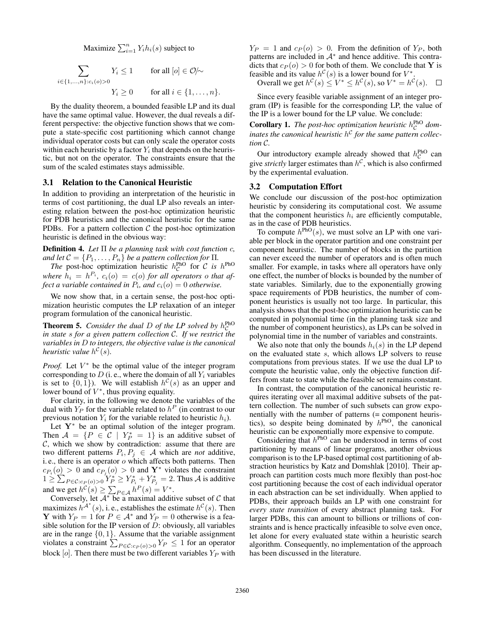Maximize  $\sum_{i=1}^{n} Y_i h_i(s)$  subject to

$$
\sum_{i \in \{1, \dots, n\} : c_i(o) > 0} Y_i \le 1 \qquad \text{for all } [o] \in \mathcal{O}/\sim
$$
\n
$$
Y_i \ge 0 \qquad \text{for all } i \in \{1, \dots, n\}.
$$

By the duality theorem, a bounded feasible LP and its dual have the same optimal value. However, the dual reveals a different perspective: the objective function shows that we compute a state-specific cost partitioning which cannot change individual operator costs but can only scale the operator costs within each heuristic by a factor  $Y_i$  that depends on the heuristic, but not on the operator. The constraints ensure that the sum of the scaled estimates stays admissible.

### 3.1 Relation to the Canonical Heuristic

In addition to providing an interpretation of the heuristic in terms of cost partitioning, the dual LP also reveals an interesting relation between the post-hoc optimization heuristic for PDB heuristics and the canonical heuristic for the same PDBs. For a pattern collection  $C$  the post-hoc optimization heuristic is defined in the obvious way:

Definition 4. *Let* Π *be a planning task with cost function* c*, and let*  $C = \{P_1, \ldots, P_n\}$  *be a pattern collection for*  $\Pi$ *.* 

*The* post-hoc optimization heuristic  $h_C^{PhO}$  $\mathcal{C}^{\text{phO}}$  for  $\mathcal C$  *is h*<sup>PhO</sup> where  $h_i = h^{P_i}$ ,  $c_i(o) = c(o)$  *for all operators o that affect a variable contained in*  $P_i$ *, and*  $c_i(o) = 0$  *otherwise.* 

We now show that, in a certain sense, the post-hoc optimization heuristic computes the LP relaxation of an integer program formulation of the canonical heuristic.

**Theorem 5.** *Consider the dual D of the LP solved by*  $h_C^{PhO}$ C *in state* s *for a given pattern collection* C*. If we restrict the variables in* D *to integers, the objective value is the canonical heuristic value*  $h^C(s)$ .

*Proof.* Let  $V^*$  be the optimal value of the integer program corresponding to  $D$  (i.e., where the domain of all  $Y_i$  variables is set to  $\{0,1\}$ ). We will establish  $h^{\mathcal{C}}(s)$  as an upper and lower bound of  $V^*$ , thus proving equality.

For clarity, in the following we denote the variables of the dual with  $Y_P$  for the variable related to  $h^P$  (in contrast to our previous notation  $Y_i$  for the variable related to heuristic  $h_i$ ).

Let  $Y^*$  be an optimal solution of the integer program. Then  $A = \{P \in C \mid Y_P^* = 1\}$  is an additive subset of  $C$ , which we show by contradiction: assume that there are two different patterns  $P_i, P_j \in \mathcal{A}$  which are *not* additive, i. e., there is an operator  $o$  which affects both patterns. Then  $c_{P_i}(o) > 0$  and  $c_{P_j}(o) > 0$  and  $\mathbf{Y}^*$  violates the constraint  $1 \ge \sum_{P \in \mathcal{C}: c_P(o) > 0} Y_P^* \ge Y_{P_i}^* + Y_{P_j}^* = 2$ . Thus A is additive and we get  $h^{\mathcal{C}}(s) \geq \sum_{P \in \mathcal{A}} h^P(s) = V^*$ .

Conversely, let  $A^*$  be a maximal additive subset of  $C$  that maximizes  $h^{\mathcal{A}^*}(s)$ , i. e., establishes the estimate  $h^{\mathcal{C}}(s)$ . Then **Y** with  $Y_P = 1$  for  $P \in \mathcal{A}^*$  and  $Y_P = 0$  otherwise is a feasible solution for the IP version of  $D$ : obviously, all variables are in the range  $\{0, 1\}$ . Assume that the variable assignment violates a constraint  $\sum_{P \in \mathcal{C}: c_P(o) > 0} Y_P \le 1$  for an operator block  $[o]$ . Then there must be two different variables  $Y_P$  with  $Y_P = 1$  and  $c_P(o) > 0$ . From the definition of  $Y_P$ , both patterns are included in  $A^*$  and hence additive. This contradicts that  $c_P (o) > 0$  for both of them. We conclude that Y is feasible and its value  $h^{\mathcal{C}}(s)$  is a lower bound for  $V^*$ .

Overall we get  $h^{\mathcal{C}}(s) \leq V^* \leq h^{\mathcal{C}}(s)$ , so  $V^* = h^{\mathcal{C}}(s)$ .  $\Box$ 

Since every feasible variable assignment of an integer program (IP) is feasible for the corresponding LP, the value of the IP is a lower bound for the LP value. We conclude:

**Corollary 1.** The post-hoc optimization heuristic  $h_c^{\text{PhO}}$  dom- $\frac{1}{\sqrt{2}}$  is the partner of manufacture in the same pattern collections of the same pattern collec*tion* C*.*

Our introductory example already showed that  $h_c^{\text{PhO}}$  can give *strictly* larger estimates than  $h^C$ , which is also confirmed by the experimental evaluation.

#### 3.2 Computation Effort

We conclude our discussion of the post-hoc optimization heuristic by considering its computational cost. We assume that the component heuristics  $h_i$  are efficiently computable, as in the case of PDB heuristics.

To compute  $h^{\text{PhO}}(s)$ , we must solve an LP with one variable per block in the operator partition and one constraint per component heuristic. The number of blocks in the partition can never exceed the number of operators and is often much smaller. For example, in tasks where all operators have only one effect, the number of blocks is bounded by the number of state variables. Similarly, due to the exponentially growing space requirements of PDB heuristics, the number of component heuristics is usually not too large. In particular, this analysis shows that the post-hoc optimization heuristic can be computed in polynomial time (in the planning task size and the number of component heuristics), as LPs can be solved in polynomial time in the number of variables and constraints.

We also note that only the bounds  $h_i(s)$  in the LP depend on the evaluated state s, which allows LP solvers to reuse computations from previous states. If we use the dual LP to compute the heuristic value, only the objective function differs from state to state while the feasible set remains constant.

In contrast, the computation of the canonical heuristic requires iterating over all maximal additive subsets of the pattern collection. The number of such subsets can grow exponentially with the number of patterns (= component heuristics), so despite being dominated by  $h^{\text{PhO}}$ , the canonical heuristic can be exponentially more expensive to compute.

Considering that  $h^{\text{PhO}}$  can be understood in terms of cost partitioning by means of linear programs, another obvious comparison is to the LP-based optimal cost partitioning of abstraction heuristics by Katz and Domshlak [2010]. Their approach can partition costs much more flexibly than post-hoc cost partitioning because the cost of each individual operator in each abstraction can be set individually. When applied to PDBs, their approach builds an LP with one constraint for *every state transition* of every abstract planning task. For larger PDBs, this can amount to billions or trillions of constraints and is hence practically infeasible to solve even once, let alone for every evaluated state within a heuristic search algorithm. Consequently, no implementation of the approach has been discussed in the literature.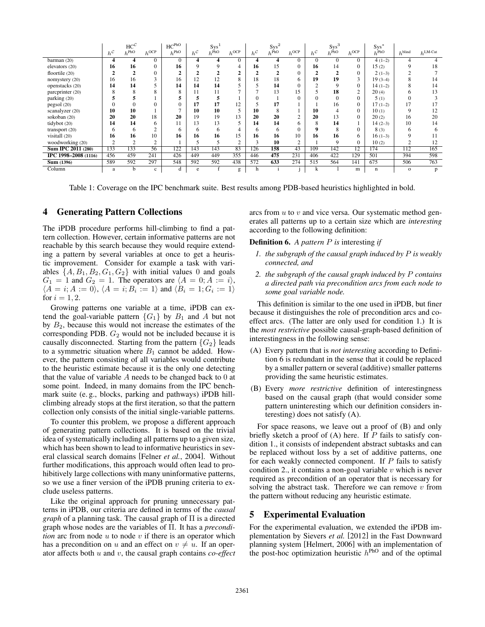|                           |                   | $HC^{\mathcal{C}}$ |              | $HC^{\text{PhO}}$ |                   | Sys <sup>1</sup> |                |                   | $Sys^2$<br>$h^{\text{PhO}}$ |                |                   | $\operatorname*{Sys}_{h}^{3}$ |           | $Sys^*$          |                    |                     |
|---------------------------|-------------------|--------------------|--------------|-------------------|-------------------|------------------|----------------|-------------------|-----------------------------|----------------|-------------------|-------------------------------|-----------|------------------|--------------------|---------------------|
|                           | $h^{\mathcal{C}}$ | $h^{\text{PhO}}$   | $h^{OCP}$    | $h^{\text{PhO}}$  | $h^{\mathcal{C}}$ | $h^{\text{PhO}}$ | $h^{OCP}$      | $h^{\mathcal{C}}$ |                             | $h^{\rm OCP}$  | $h^{\mathcal{C}}$ |                               | $h^{OCP}$ | $h^{\text{PhO}}$ | $h^{\text{blind}}$ | $h^{\text{LM-Cut}}$ |
| barman(20)                |                   | 4                  | 0            | 0                 |                   | 4                | $\Omega$       |                   | 4                           | 0              | $\Omega$          | $\Omega$                      | $\Omega$  | $4(1-2)$         | 4                  |                     |
| elevators (20)            | 16                | 16                 | 0            | 16                |                   |                  | 4              | 16                | 15                          | 0              | 16                | 14                            | 0         | 15(2)            | 9                  | 18                  |
| floortile (20)            |                   |                    | 0            |                   |                   |                  |                |                   |                             | 0              |                   |                               | 0         | $2(1-3)$         |                    |                     |
| nomystery (20)            | 16                | 16                 |              | 16                | 12                | 12               | 8              | 18                | 18                          | 6              | 19                | 19                            |           | $19(3-4)$        |                    | 14                  |
| openstacks (20)           | 14                | 14                 |              | 14                | 14                | 14               |                |                   | 14                          | $\Omega$       |                   | 9                             | $\Omega$  | $14(1-2)$        |                    | 14                  |
| parcprinter (20)          |                   | 8                  | х            | 8                 | 11                | 11               | $\overline{ }$ |                   | 13                          | 15             |                   | 18                            | 2         | 20(4)            |                    | 13                  |
| parking (20)              |                   |                    |              |                   |                   |                  |                |                   |                             | 0              |                   | 0                             | 0         | 5(1)             |                    |                     |
| pegsol (20)               |                   |                    | 0            |                   | 17                | 17               | 12             |                   | 17                          |                |                   | 16                            | 0         | $17(1-2)$        | 17                 |                     |
| scanalyzer (20)           | 10                | 10                 |              |                   | 10                | 10               |                | 10                | 8                           |                | 10                |                               | $\Omega$  | 10(1)            | 9                  | 12                  |
| sokoban (20)              | 20                | 20                 | 18           | 20                | 19                | 19               | 13             | 20                | 20                          | <sup>1</sup>   | 20                | 13                            | $\Omega$  | 20(2)            | 16                 | 20                  |
| tidybot (20)              | 14                | 14                 | 6.           | 11                | 13                | 13               |                | 14                | 14                          | 6              |                   | 14                            |           | $14(2-3)$        | 10                 | 14                  |
| transport (20)            | 6                 | 6                  | <sup>1</sup> | 6                 | 6                 | 6                | 4              | 6                 | 6                           | 0              |                   | 8                             | 0         | 8(3)             | 6                  | 6                   |
| visitall (20)             | 16                | 16                 | 10           | 16                | 16                | 16               | 15             | 16                | 16                          | 10             | 16                | 16                            | 6         | $16(1-3)$        | 9                  | 11                  |
| woodworking (20)          | $\overline{2}$    | $\mathcal{L}$      | $\gamma$     |                   |                   |                  | $\gamma$       | 3                 | 10                          | $\overline{c}$ |                   | 9                             | 0         | 10(2)            |                    | 12                  |
| <b>Sum IPC 2011 (280)</b> | 133               | 133                | 56           | 122               | 143               | 143              | 83             | 126               | 158                         | 43             | 109               | 142                           | 12        | 174              | 112                | 165                 |
| IPC 1998-2008 (1116)      | 456               | 459                | 241          | 426               | 449               | 449              | 355            | 446               | 475                         | 231            | 406               | 422                           | 129       | 501              | 394                | 598                 |
| <b>Sum (1396)</b>         | 589               | 592                | 297          | 548               | 592               | 592              | 438            | 572               | 633                         | 274            | 515               | 564                           | 141       | 675              | 506                | 763                 |
| Column                    | a                 | h                  | c            | d                 | e                 |                  | g              | n                 |                             |                | k                 |                               | m         | $\mathbf n$      | $\mathbf{o}$       | p                   |

Table 1: Coverage on the IPC benchmark suite. Best results among PDB-based heuristics highlighted in bold.

## 4 Generating Pattern Collections

The iPDB procedure performs hill-climbing to find a pattern collection. However, certain informative patterns are not reachable by this search because they would require extending a pattern by several variables at once to get a heuristic improvement. Consider for example a task with variables  $\{A, B_1, B_2, G_1, G_2\}$  with initial values 0 and goals  $G_1 = 1$  and  $G_2 = 1$ . The operators are  $\langle A = 0; A := i \rangle$ ,  $\langle A = i; A := 0 \rangle$ ,  $\langle A = i; B_i := 1 \rangle$  and  $\langle B_i = 1; G_i := 1 \rangle$ for  $i = 1, 2$ .

Growing patterns one variable at a time, iPDB can extend the goal-variable pattern  ${G_1}$  by  $B_1$  and A but not by  $B_2$ , because this would not increase the estimates of the corresponding PDB.  $G_2$  would not be included because it is causally disconnected. Starting from the pattern  ${G_2}$  leads to a symmetric situation where  $B_1$  cannot be added. However, the pattern consisting of all variables would contribute to the heuristic estimate because it is the only one detecting that the value of variable  $A$  needs to be changed back to  $0$  at some point. Indeed, in many domains from the IPC benchmark suite (e. g., blocks, parking and pathways) iPDB hillclimbing already stops at the first iteration, so that the pattern collection only consists of the initial single-variable patterns.

To counter this problem, we propose a different approach of generating pattern collections. It is based on the trivial idea of systematically including all patterns up to a given size, which has been shown to lead to informative heuristics in several classical search domains [Felner *et al.*, 2004]. Without further modifications, this approach would often lead to prohibitively large collections with many uninformative patterns, so we use a finer version of the iPDB pruning criteria to exclude useless patterns.

Like the original approach for pruning unnecessary patterns in iPDB, our criteria are defined in terms of the *causal graph* of a planning task. The causal graph of Π is a directed graph whose nodes are the variables of Π. It has a *precondition* arc from node  $u$  to node  $v$  if there is an operator which has a precondition on u and an effect on  $v \neq u$ . If an operator affects both u and v, the causal graph contains *co-effect* arcs from  $u$  to  $v$  and vice versa. Our systematic method generates all patterns up to a certain size which are *interesting* according to the following definition:

#### Definition 6. *A pattern* P *is* interesting *if*

- *1. the subgraph of the causal graph induced by* P *is weakly connected, and*
- *2. the subgraph of the causal graph induced by* P *contains a directed path via precondition arcs from each node to some goal variable node.*

This definition is similar to the one used in iPDB, but finer because it distinguishes the role of precondition arcs and coeffect arcs. (The latter are only used for condition 1.) It is the *most restrictive* possible causal-graph-based definition of interestingness in the following sense:

- (A) Every pattern that is *not interesting* according to Definition 6 is redundant in the sense that it could be replaced by a smaller pattern or several (additive) smaller patterns providing the same heuristic estimates.
- (B) Every *more restrictive* definition of interestingness based on the causal graph (that would consider some pattern uninteresting which our definition considers interesting) does not satisfy (A).

For space reasons, we leave out a proof of (B) and only briefly sketch a proof of  $(A)$  here. If  $P$  fails to satisfy condition 1., it consists of independent abstract subtasks and can be replaced without loss by a set of additive patterns, one for each weakly connected component. If  $P$  fails to satisfy condition 2., it contains a non-goal variable  $v$  which is never required as precondition of an operator that is necessary for solving the abstract task. Therefore we can remove  $v$  from the pattern without reducing any heuristic estimate.

# 5 Experimental Evaluation

For the experimental evaluation, we extended the iPDB implementation by Sievers *et al.* [2012] in the Fast Downward planning system [Helmert, 2006] with an implementation of the post-hoc optimization heuristic  $h^{\text{PhO}}$  and of the optimal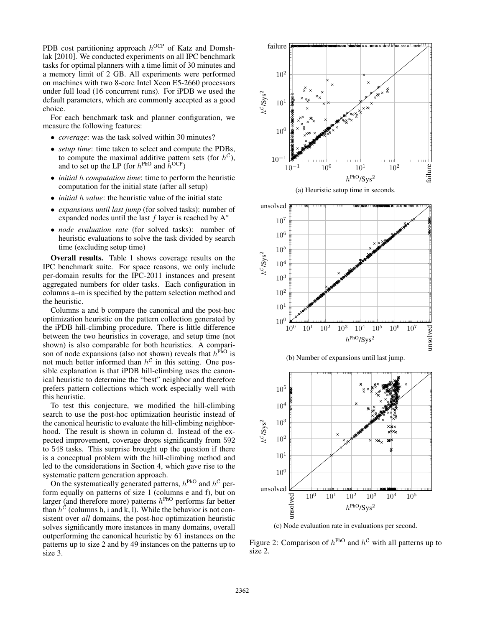PDB cost partitioning approach  $h^{OCP}$  of Katz and Domshlak [2010]. We conducted experiments on all IPC benchmark tasks for optimal planners with a time limit of 30 minutes and a memory limit of 2 GB. All experiments were performed on machines with two 8-core Intel Xeon E5-2660 processors under full load (16 concurrent runs). For iPDB we used the default parameters, which are commonly accepted as a good choice.

For each benchmark task and planner configuration, we measure the following features:

- *coverage*: was the task solved within 30 minutes?
- *setup time*: time taken to select and compute the PDBs, to compute the maximal additive pattern sets (for  $h^C$ ), and to set up the LP (for  $h^{\text{PhO}}$  and  $\bar{h}^{\text{OCP}}$ )
- *initial* h *computation time*: time to perform the heuristic computation for the initial state (after all setup)
- *initial* h *value*: the heuristic value of the initial state
- *expansions until last jump* (for solved tasks): number of expanded nodes until the last  $f$  layer is reached by  $A^*$
- *node evaluation rate* (for solved tasks): number of heuristic evaluations to solve the task divided by search time (excluding setup time)

Overall results. Table 1 shows coverage results on the IPC benchmark suite. For space reasons, we only include per-domain results for the IPC-2011 instances and present aggregated numbers for older tasks. Each configuration in columns a–m is specified by the pattern selection method and the heuristic.

Columns a and b compare the canonical and the post-hoc optimization heuristic on the pattern collection generated by the iPDB hill-climbing procedure. There is little difference between the two heuristics in coverage, and setup time (not shown) is also comparable for both heuristics. A comparison of node expansions (also not shown) reveals that  $h<sup>phO</sup>$  is not much better informed than  $h^{\mathcal{C}}$  in this setting. One possible explanation is that iPDB hill-climbing uses the canonical heuristic to determine the "best" neighbor and therefore prefers pattern collections which work especially well with this heuristic.

To test this conjecture, we modified the hill-climbing search to use the post-hoc optimization heuristic instead of the canonical heuristic to evaluate the hill-climbing neighborhood. The result is shown in column d. Instead of the expected improvement, coverage drops significantly from 592 to 548 tasks. This surprise brought up the question if there is a conceptual problem with the hill-climbing method and led to the considerations in Section 4, which gave rise to the systematic pattern generation approach.

On the systematically generated patterns,  $h^{\text{PhO}}$  and  $h^{\text{C}}$  perform equally on patterns of size 1 (columns e and f), but on larger (and therefore more) patterns  $h^{\text{PhO}}$  performs far better than  $h^{\mathcal{C}}$  (columns h, i and k, l). While the behavior is not consistent over *all* domains, the post-hoc optimization heuristic solves significantly more instances in many domains, overall outperforming the canonical heuristic by 61 instances on the patterns up to size 2 and by 49 instances on the patterns up to size 3.











(c) Node evaluation rate in evaluations per second.

Figure 2: Comparison of  $h^{\text{PhO}}$  and  $h^{\mathcal{C}}$  with all patterns up to size 2.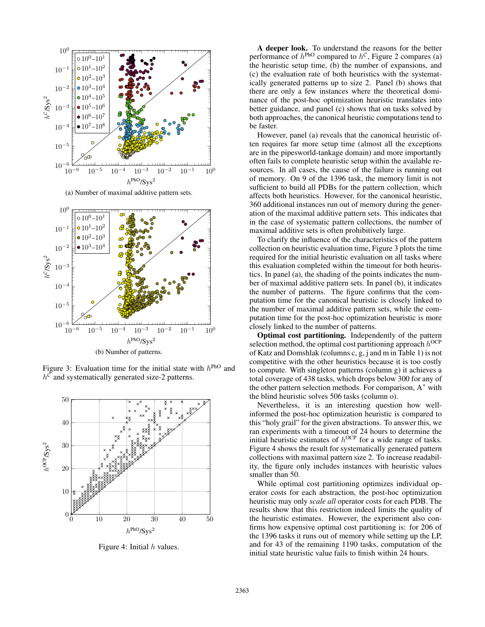

(a) Number of maximal additive pattern sets.



Figure 3: Evaluation time for the initial state with  $h^{\text{PhO}}$  and  $h^{\mathcal{C}}$  and systematically generated size-2 patterns.



Figure 4: Initial  $h$  values.

A deeper look. To understand the reasons for the better performance of  $h^{\text{PhO}}$  compared to  $h^{\mathcal{C}}$ , Figure 2 compares (a) the heuristic setup time, (b) the number of expansions, and (c) the evaluation rate of both heuristics with the systematically generated patterns up to size 2. Panel (b) shows that there are only a few instances where the theoretical dominance of the post-hoc optimization heuristic translates into better guidance, and panel (c) shows that on tasks solved by both approaches, the canonical heuristic computations tend to be faster.

However, panel (a) reveals that the canonical heuristic often requires far more setup time (almost all the exceptions are in the pipesworld-tankage domain) and more importantly often fails to complete heuristic setup within the available resources. In all cases, the cause of the failure is running out of memory. On 9 of the 1396 task, the memory limit is not sufficient to build all PDBs for the pattern collection, which affects both heuristics. However, for the canonical heuristic, 360 additional instances run out of memory during the generation of the maximal additive pattern sets. This indicates that in the case of systematic pattern collections, the number of maximal additive sets is often prohibitively large.

To clarify the influence of the characteristics of the pattern collection on heuristic evaluation time, Figure 3 plots the time required for the initial heuristic evaluation on all tasks where this evaluation completed within the timeout for both heuristics. In panel (a), the shading of the points indicates the number of maximal additive pattern sets. In panel (b), it indicates the number of patterns. The figure confirms that the computation time for the canonical heuristic is closely linked to the number of maximal additive pattern sets, while the computation time for the post-hoc optimization heuristic is more closely linked to the number of patterns.

Optimal cost partitioning. Independently of the pattern selection method, the optimal cost partitioning approach  $h^{OCP}$ of Katz and Domshlak (columns c, g, j and m in Table 1) is not competitive with the other heuristics because it is too costly to compute. With singleton patterns (column g) it achieves a total coverage of 438 tasks, which drops below 300 for any of the other pattern selection methods. For comparison,  $A^*$  with the blind heuristic solves 506 tasks (column o).

Nevertheless, it is an interesting question how wellinformed the post-hoc optimization heuristic is compared to this "holy grail" for the given abstractions. To answer this, we ran experiments with a timeout of 24 hours to determine the initial heuristic estimates of  $h^{OCP}$  for a wide range of tasks. Figure 4 shows the result for systematically generated pattern collections with maximal pattern size 2. To increase readability, the figure only includes instances with heuristic values smaller than 50.

While optimal cost partitioning optimizes individual operator costs for each abstraction, the post-hoc optimization heuristic may only *scale all* operator costs for each PDB. The results show that this restriction indeed limits the quality of the heuristic estimates. However, the experiment also confirms how expensive optimal cost partitioning is: for 206 of the 1396 tasks it runs out of memory while setting up the LP, and for 43 of the remaining 1190 tasks, computation of the initial state heuristic value fails to finish within 24 hours.